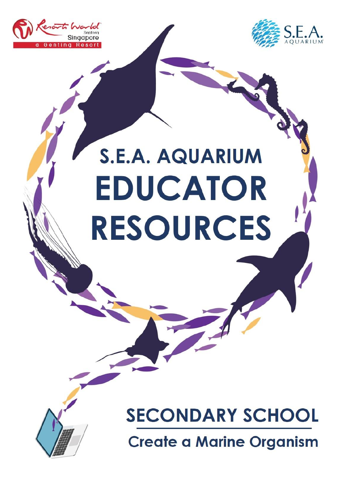



# **S.E.A. AQUARIUM** EDUCATOR **RESOURCES**



# **SECONDARY SCHOOL**

**Create a Marine Organism**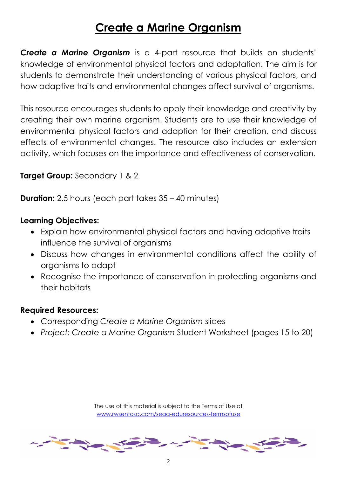# **Create a Marine Organism**

*Create a Marine Organism* is a 4-part resource that builds on students' knowledge of environmental physical factors and adaptation. The aim is for students to demonstrate their understanding of various physical factors, and how adaptive traits and environmental changes affect survival of organisms.

This resource encourages students to apply their knowledge and creativity by creating their own marine organism. Students are to use their knowledge of environmental physical factors and adaption for their creation, and discuss effects of environmental changes. The resource also includes an extension activity, which focuses on the importance and effectiveness of conservation.

**Target Group:** Secondary 1 & 2

**Duration:** 2.5 hours (each part takes 35 – 40 minutes)

#### **Learning Objectives:**

- Explain how environmental physical factors and having adaptive traits influence the survival of organisms
- Discuss how changes in environmental conditions affect the ability of organisms to adapt
- Recognise the importance of conservation in protecting organisms and their habitats

#### **Required Resources:**

- Corresponding *Create a Marine Organism* slides
- *Project: Create a Marine Organism* Student Worksheet (pages 15 to 20)

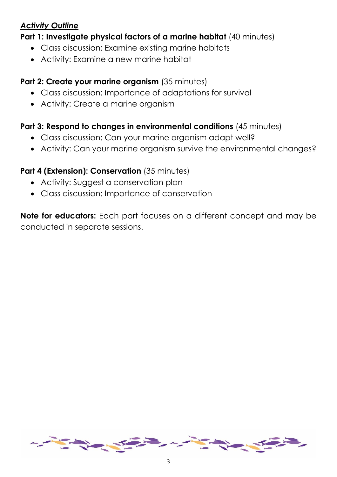# *Activity Outline*

**Part 1: Investigate physical factors of a marine habitat** (40 minutes)

- Class discussion: Examine existing marine habitats
- Activity: Examine a new marine habitat

# **Part 2: Create your marine organism** (35 minutes)

- Class discussion: Importance of adaptations for survival
- Activity: Create a marine organism

# **Part 3: Respond to changes in environmental conditions** (45 minutes)

- Class discussion: Can your marine organism adapt well?
- Activity: Can your marine organism survive the environmental changes?

# **Part 4 (Extension): Conservation** (35 minutes)

- Activity: Suggest a conservation plan
- Class discussion: Importance of conservation

**Note for educators:** Each part focuses on a different concept and may be conducted in separate sessions.

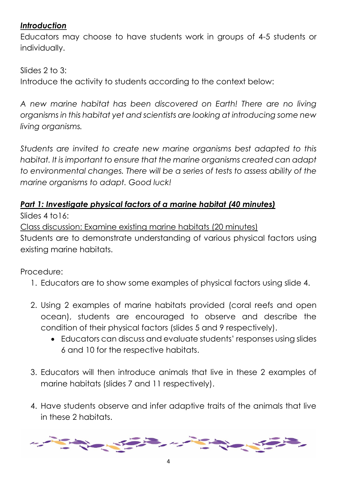# *Introduction*

Educators may choose to have students work in groups of 4-5 students or individually.

Slides 2 to 3:

Introduce the activity to students according to the context below:

*A new marine habitat has been discovered on Earth! There are no living organisms in this habitat yet and scientists are looking at introducing some new living organisms.*

*Students are invited to create new marine organisms best adapted to this habitat. It is important to ensure that the marine organisms created can adapt to environmental changes. There will be a series of tests to assess ability of the marine organisms to adapt. Good luck!*

# *Part 1: Investigate physical factors of a marine habitat (40 minutes)*

Slides 4 to16:

Class discussion: Examine existing marine habitats (20 minutes) Students are to demonstrate understanding of various physical factors using existing marine habitats.

Procedure:

- 1. Educators are to show some examples of physical factors using slide 4.
- 2. Using 2 examples of marine habitats provided (coral reefs and open ocean), students are encouraged to observe and describe the condition of their physical factors (slides 5 and 9 respectively).
	- Educators can discuss and evaluate students' responses using slides 6 and 10 for the respective habitats.
- 3. Educators will then introduce animals that live in these 2 examples of marine habitats (slides 7 and 11 respectively).
- 4. Have students observe and infer adaptive traits of the animals that live in these 2 habitats.

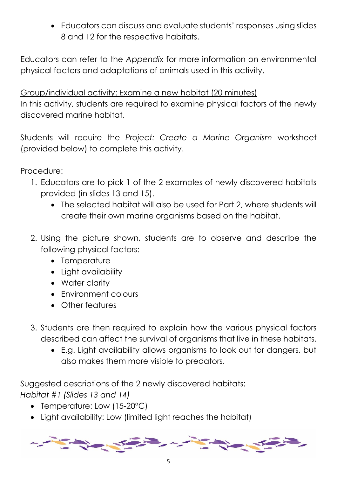Educators can discuss and evaluate students' responses using slides 8 and 12 for the respective habitats.

Educators can refer to the *Appendix* for more information on environmental physical factors and adaptations of animals used in this activity.

Group/individual activity: Examine a new habitat (20 minutes) In this activity, students are required to examine physical factors of the newly discovered marine habitat.

Students will require the *Project: Create a Marine Organism* worksheet (provided below) to complete this activity.

Procedure:

- 1. Educators are to pick 1 of the 2 examples of newly discovered habitats provided (in slides 13 and 15).
	- The selected habitat will also be used for Part 2, where students will create their own marine organisms based on the habitat.
- 2. Using the picture shown, students are to observe and describe the following physical factors:
	- Temperature
	- Light availability
	- Water clarity
	- Environment colours
	- Other features
- 3. Students are then required to explain how the various physical factors described can affect the survival of organisms that live in these habitats.
	- E.g. Light availability allows organisms to look out for dangers, but also makes them more visible to predators.

Suggested descriptions of the 2 newly discovered habitats: *Habitat #1 (Slides 13 and 14)*

- Temperature: Low (15-20°C)
- Light availability: Low (limited light reaches the habitat)

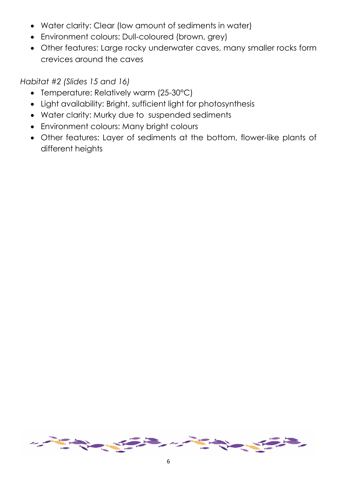- Water clarity: Clear (low amount of sediments in water)
- Environment colours: Dull-coloured (brown, grey)
- Other features: Large rocky underwater caves, many smaller rocks form crevices around the caves

*Habitat #2 (Slides 15 and 16)*

- Temperature: Relatively warm (25-30°C)
- Light availability: Bright, sufficient light for photosynthesis
- Water clarity: Murky due to suspended sediments
- Environment colours: Many bright colours
- Other features: Layer of sediments at the bottom, flower-like plants of different heights

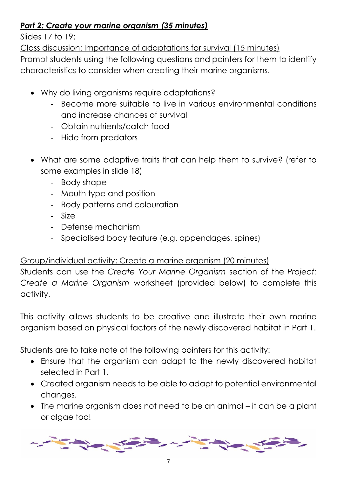# *Part 2: Create your marine organism (35 minutes)*

Slides 17 to 19:

Class discussion: Importance of adaptations for survival (15 minutes) Prompt students using the following questions and pointers for them to identify characteristics to consider when creating their marine organisms.

- Why do living organisms require adaptations?
	- Become more suitable to live in various environmental conditions and increase chances of survival
	- Obtain nutrients/catch food
	- Hide from predators
- What are some adaptive traits that can help them to survive? (refer to some examples in slide 18)
	- Body shape
	- Mouth type and position
	- Body patterns and colouration
	- Size
	- Defense mechanism
	- Specialised body feature (e.g. appendages, spines)

# Group/individual activity: Create a marine organism (20 minutes)

Students can use the *Create Your Marine Organism* section of the *Project: Create a Marine Organism* worksheet (provided below) to complete this activity.

This activity allows students to be creative and illustrate their own marine organism based on physical factors of the newly discovered habitat in Part 1.

Students are to take note of the following pointers for this activity:

- Ensure that the organism can adapt to the newly discovered habitat selected in Part 1.
- Created organism needs to be able to adapt to potential environmental changes.
- The marine organism does not need to be an animal it can be a plant or algae too!

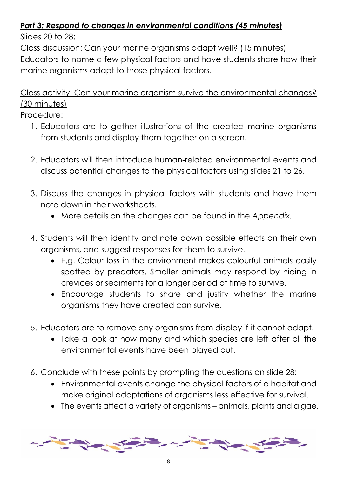# *Part 3: Respond to changes in environmental conditions (45 minutes)*

Slides  $20$  to  $28$ 

Class discussion: Can your marine organisms adapt well? (15 minutes)

Educators to name a few physical factors and have students share how their marine organisms adapt to those physical factors.

Class activity: Can your marine organism survive the environmental changes? (30 minutes)

# Procedure:

- 1. Educators are to gather illustrations of the created marine organisms from students and display them together on a screen.
- 2. Educators will then introduce human-related environmental events and discuss potential changes to the physical factors using slides 21 to 26.
- 3. Discuss the changes in physical factors with students and have them note down in their worksheets.
	- More details on the changes can be found in the *Appendix.*
- 4. Students will then identify and note down possible effects on their own organisms, and suggest responses for them to survive.
	- E.g. Colour loss in the environment makes colourful animals easily spotted by predators. Smaller animals may respond by hiding in crevices or sediments for a longer period of time to survive.
	- Encourage students to share and justify whether the marine organisms they have created can survive.
- 5. Educators are to remove any organisms from display if it cannot adapt.
	- Take a look at how many and which species are left after all the environmental events have been played out.
- 6. Conclude with these points by prompting the questions on slide 28:
	- Environmental events change the physical factors of a habitat and make original adaptations of organisms less effective for survival.
	- The events affect a variety of organisms animals, plants and algae.

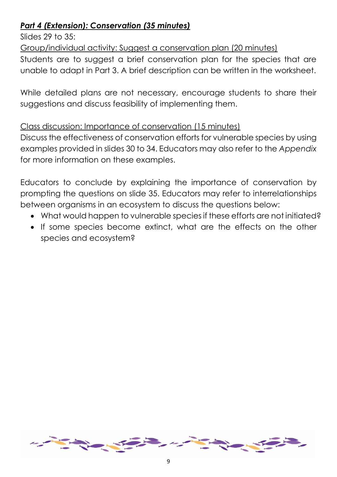# *Part 4 (Extension): Conservation (35 minutes)*

Slides 29 to  $35$ :

Group/individual activity: Suggest a conservation plan (20 minutes)

Students are to suggest a brief conservation plan for the species that are unable to adapt in Part 3. A brief description can be written in the worksheet.

While detailed plans are not necessary, encourage students to share their suggestions and discuss feasibility of implementing them.

# Class discussion: Importance of conservation (15 minutes)

Discuss the effectiveness of conservation efforts for vulnerable species by using examples provided in slides 30 to 34. Educators may also refer to the *Appendix* for more information on these examples.

Educators to conclude by explaining the importance of conservation by prompting the questions on slide 35. Educators may refer to interrelationships between organisms in an ecosystem to discuss the questions below:

- What would happen to vulnerable species if these efforts are not initiated?
- If some species become extinct, what are the effects on the other species and ecosystem?

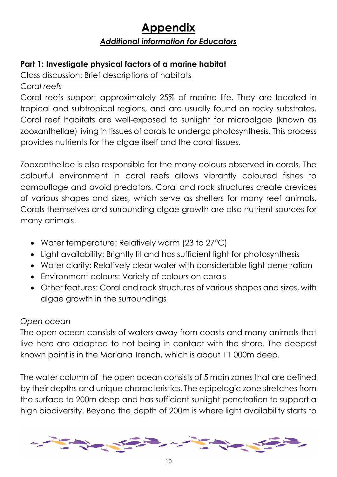# **Appendix** *Additional information for Educators*

# **Part 1: Investigate physical factors of a marine habitat**

Class discussion: Brief descriptions of habitats

*Coral reefs*

Coral reefs support approximately 25% of marine life. They are located in tropical and subtropical regions, and are usually found on rocky substrates. Coral reef habitats are well-exposed to sunlight for microalgae (known as zooxanthellae) living in tissues of corals to undergo photosynthesis. This process provides nutrients for the algae itself and the coral tissues.

Zooxanthellae is also responsible for the many colours observed in corals. The colourful environment in coral reefs allows vibrantly coloured fishes to camouflage and avoid predators. Coral and rock structures create crevices of various shapes and sizes, which serve as shelters for many reef animals. Corals themselves and surrounding algae growth are also nutrient sources for many animals.

- Water temperature: Relatively warm (23 to 27°C)
- Light availability: Brightly lit and has sufficient light for photosynthesis
- Water clarity: Relatively clear water with considerable light penetration
- Environment colours: Variety of colours on corals
- Other features: Coral and rock structures of various shapes and sizes, with algae growth in the surroundings

# *Open ocean*

The open ocean consists of waters away from coasts and many animals that live here are adapted to not being in contact with the shore. The deepest known point is in the Mariana Trench, which is about 11 000m deep.

The water column of the open ocean consists of 5 main zones that are defined by their depths and unique characteristics. The epipelagic zone stretches from the surface to 200m deep and has sufficient sunlight penetration to support a high biodiversity. Beyond the depth of 200m is where light availability starts to

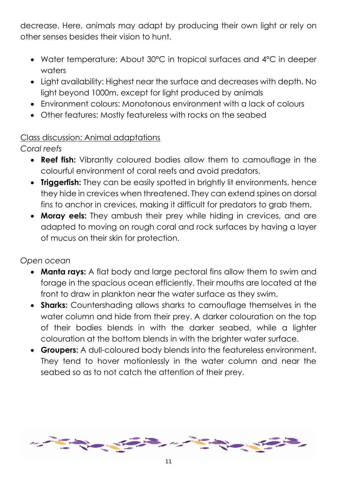decrease. Here, animals may adapt by producing their own light or rely on other senses besides their vision to hunt.

- Water temperature: About 30°C in tropical surfaces and 4°C in deeper waters
- Light availability: Highest near the surface and decreases with depth. No light beyond 1000m, except for light produced by animals
- Environment colours: Monotonous environment with a lack of colours
- Other features: Mostly featureless with rocks on the seabed

# Class discussion: Animal adaptations

*Coral reefs*

- **Reef fish:** Vibrantly coloured bodies allow them to camouflage in the colourful environment of coral reefs and avoid predators.
- **Triggerfish:** They can be easily spotted in brightly lit environments, hence they hide in crevices when threatened. They can extend spines on dorsal fins to anchor in crevices, making it difficult for predators to grab them.
- **Moray eels:** They ambush their prey while hiding in crevices, and are adapted to moving on rough coral and rock surfaces by having a layer of mucus on their skin for protection.

# *Open ocean*

- **Manta rays:** A flat body and large pectoral fins allow them to swim and forage in the spacious ocean efficiently. Their mouths are located at the front to draw in plankton near the water surface as they swim.
- **Sharks:** Countershading allows sharks to camouflage themselves in the water column and hide from their prey. A darker colouration on the top of their bodies blends in with the darker seabed, while a lighter colouration at the bottom blends in with the brighter water surface.
- **Groupers:** A dull-coloured body blends into the featureless environment. They tend to hover motionlessly in the water column and near the seabed so as to not catch the attention of their prey.

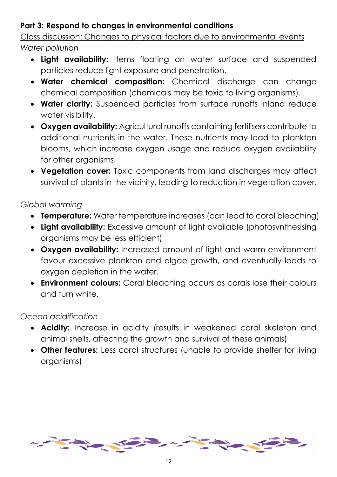# **Part 3: Respond to changes in environmental conditions**

Class discussion: Changes to physical factors due to environmental events *Water pollution*

- **.** Light availability: Items floating on water surface and suspended particles reduce light exposure and penetration.
- **Water chemical composition:** Chemical discharge can change chemical composition (chemicals may be toxic to living organisms).
- **Water clarity:** Suspended particles from surface runoffs inland reduce water visibility.
- **Oxygen availability:** Agricultural runoffs containing fertilisers contribute to additional nutrients in the water. These nutrients may lead to plankton blooms, which increase oxygen usage and reduce oxygen availability for other organisms.
- **Vegetation cover:** Toxic components from land discharges may affect survival of plants in the vicinity, leading to reduction in vegetation cover.

*Global warming*

- **Temperature:** Water temperature increases (can lead to coral bleaching)
- **Light availability:** Excessive amount of light available (photosynthesising organisms may be less efficient)
- **Oxygen availability:** Increased amount of light and warm environment favour excessive plankton and algae growth, and eventually leads to oxygen depletion in the water.
- **Environment colours:** Coral bleaching occurs as corals lose their colours and turn white.

# *Ocean acidification*

- **Acidity:** Increase in acidity (results in weakened coral skeleton and animal shells, affecting the growth and survival of these animals)
- **Other features:** Less coral structures (unable to provide shelter for living organisms)

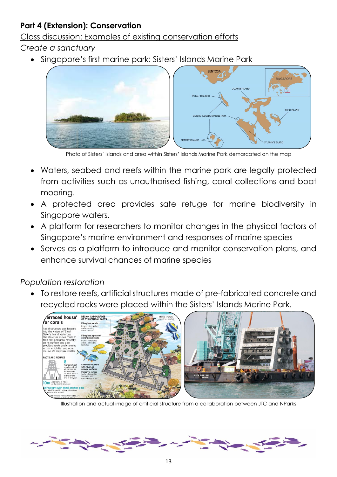# **Part 4 (Extension): Conservation**

Class discussion: Examples of existing conservation efforts

*Create a sanctuary*

Singapore's first marine park: Sisters' Islands Marine Park



Photo of Sisters' Islands and area within Sisters' Islands Marine Park demarcated on the map

- Waters, seabed and reefs within the marine park are legally protected from activities such as unauthorised fishing, coral collections and boat mooring.
- A protected area provides safe refuge for marine biodiversity in Singapore waters.
- A platform for researchers to monitor changes in the physical factors of Singapore's marine environment and responses of marine species
- Serves as a platform to introduce and monitor conservation plans, and enhance survival chances of marine species

# *Population restoration*

 To restore reefs, artificial structures made of pre-fabricated concrete and recycled rocks were placed within the Sisters' Islands Marine Park.



Illustration and actual image of artificial structure from a collaboration between JTC and NParks

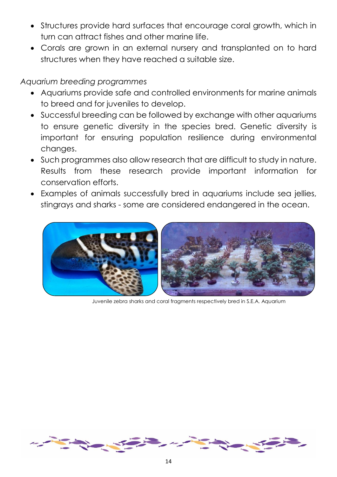- Structures provide hard surfaces that encourage coral growth, which in turn can attract fishes and other marine life.
- Corals are grown in an external nursery and transplanted on to hard structures when they have reached a suitable size.

### *Aquarium breeding programmes*

- Aquariums provide safe and controlled environments for marine animals to breed and for juveniles to develop.
- Successful breeding can be followed by exchange with other aquariums to ensure genetic diversity in the species bred. Genetic diversity is important for ensuring population resilience during environmental changes.
- Such programmes also allow research that are difficult to study in nature. Results from these research provide important information for conservation efforts.
- Examples of animals successfully bred in aquariums include sea jellies, stingrays and sharks - some are considered endangered in the ocean.



Juvenile zebra sharks and coral fragments respectively bred in S.E.A. Aquarium

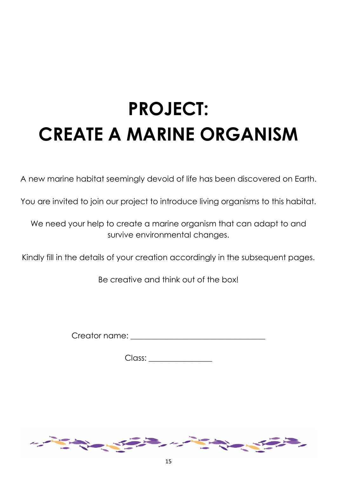# **PROJECT: CREATE A MARINE ORGANISM**

A new marine habitat seemingly devoid of life has been discovered on Earth.

You are invited to join our project to introduce living organisms to this habitat.

We need your help to create a marine organism that can adapt to and survive environmental changes.

Kindly fill in the details of your creation accordingly in the subsequent pages.

Be creative and think out of the box!

Creator name: **Exercise 2018** 

Class:

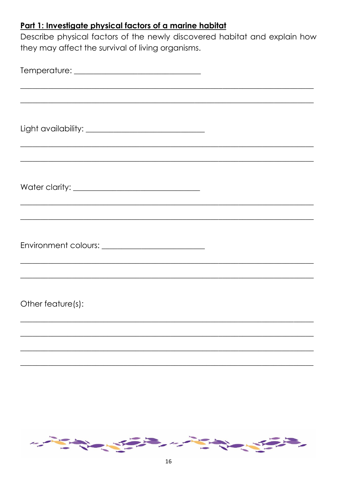# Part 1: Investigate physical factors of a marine habitat

Describe physical factors of the newly discovered habitat and explain how they may affect the survival of living organisms.

| <u> 1989 - Jan James James Barnett, amerikan berketara (j. 1989)</u>                                                  |  |
|-----------------------------------------------------------------------------------------------------------------------|--|
|                                                                                                                       |  |
|                                                                                                                       |  |
| <u> 1989 - Johann Johann Stoff, deutscher Stoffen und der Stoffen und der Stoffen und der Stoffen und der Stoffen</u> |  |
|                                                                                                                       |  |
| and the control of the control of the control of the control of the control of the control of the control of the      |  |
|                                                                                                                       |  |
| Other feature(s):                                                                                                     |  |
|                                                                                                                       |  |
|                                                                                                                       |  |

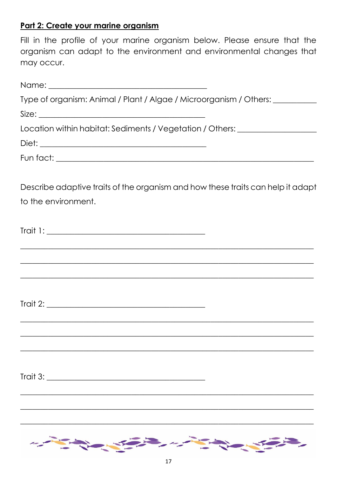# Part 2: Create your marine organism

|            |  |  |  | Fill in the profile of your marine organism below. Please ensure that the |  |  |  |  |  |  |
|------------|--|--|--|---------------------------------------------------------------------------|--|--|--|--|--|--|
|            |  |  |  | organism can adapt to the environment and environmental changes that      |  |  |  |  |  |  |
| may occur. |  |  |  |                                                                           |  |  |  |  |  |  |

| Type of organism: Animal / Plant / Algae / Microorganism / Others: _____________                                      |
|-----------------------------------------------------------------------------------------------------------------------|
|                                                                                                                       |
| Location within habitat: Sediments / Vegetation / Others: ______________________                                      |
|                                                                                                                       |
|                                                                                                                       |
| Describe adaptive traits of the organism and how these traits can help it adapt                                       |
| to the environment.                                                                                                   |
|                                                                                                                       |
| <u> 1999 - Jan James James Barnett, amerikan bernama dan bernama bernama dalam pendangan bernama dalam bernama da</u> |
| ,我们也不会有什么。""我们的人,我们也不会有什么?""我们的人,我们也不会有什么?""我们的人,我们也不会有什么?""我们的人,我们也不会有什么?""我们的人                                      |
|                                                                                                                       |
|                                                                                                                       |
| Trait 3:                                                                                                              |

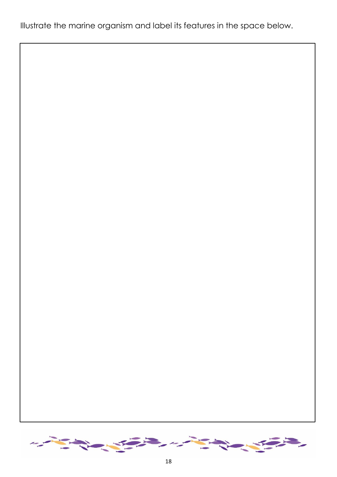Illustrate the marine organism and label its features in the space below.

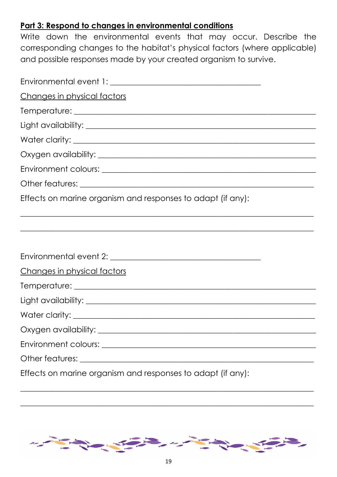# **Part 3: Respond to changes in environmental conditions**

Write down the environmental events that may occur. Describe the corresponding changes to the habitat's physical factors (where applicable) and possible responses made by your created organism to survive.

| Changes in physical factors                                                      |
|----------------------------------------------------------------------------------|
|                                                                                  |
|                                                                                  |
|                                                                                  |
|                                                                                  |
|                                                                                  |
|                                                                                  |
| Effects on marine organism and responses to adapt (if any):                      |
| ,我们也不会有什么?""我们的人,我们也不会有什么?""我们的人,我们也不会有什么?""我们的人,我们也不会有什么?""我们的人,我们也不会有什么?""我们的人 |
|                                                                                  |
|                                                                                  |
| Changes in physical factors                                                      |
|                                                                                  |
|                                                                                  |
|                                                                                  |
|                                                                                  |
|                                                                                  |
|                                                                                  |
| Effects on marine organism and responses to adapt (if any):                      |



\_\_\_\_\_\_\_\_\_\_\_\_\_\_\_\_\_\_\_\_\_\_\_\_\_\_\_\_\_\_\_\_\_\_\_\_\_\_\_\_\_\_\_\_\_\_\_\_\_\_\_\_\_\_\_\_\_\_\_\_\_\_\_\_\_\_\_\_\_\_\_\_\_\_